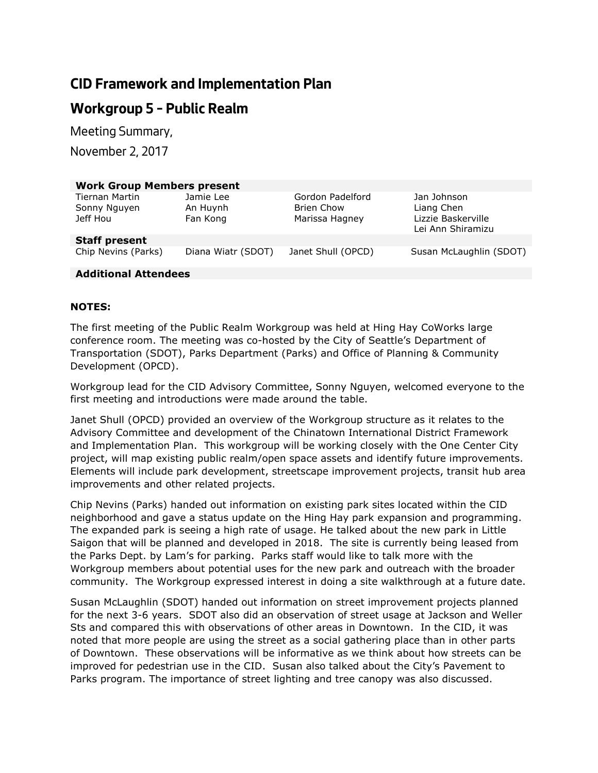# **CID Framework and Implementation Plan**

# **Workgroup 5 – Public Realm**

*Meeting Summary,* 

*November 2, 2017*

| <b>Work Group Members present</b>                 |                                   |                                                  |                                                                      |
|---------------------------------------------------|-----------------------------------|--------------------------------------------------|----------------------------------------------------------------------|
| <b>Tiernan Martin</b><br>Sonny Nguyen<br>Jeff Hou | Jamie Lee<br>An Huynh<br>Fan Kong | Gordon Padelford<br>Brien Chow<br>Marissa Hagney | Jan Johnson<br>Liang Chen<br>Lizzie Baskerville<br>Lei Ann Shiramizu |
| <b>Staff present</b>                              |                                   |                                                  |                                                                      |
| Chip Nevins (Parks)                               | Diana Wiatr (SDOT)                | Janet Shull (OPCD)                               | Susan McLaughlin (SDOT)                                              |

## **Additional Attendees**

## **NOTES:**

The first meeting of the Public Realm Workgroup was held at Hing Hay CoWorks large conference room. The meeting was co-hosted by the City of Seattle's Department of Transportation (SDOT), Parks Department (Parks) and Office of Planning & Community Development (OPCD).

Workgroup lead for the CID Advisory Committee, Sonny Nguyen, welcomed everyone to the first meeting and introductions were made around the table.

Janet Shull (OPCD) provided an overview of the Workgroup structure as it relates to the Advisory Committee and development of the Chinatown International District Framework and Implementation Plan. This workgroup will be working closely with the One Center City project, will map existing public realm/open space assets and identify future improvements. Elements will include park development, streetscape improvement projects, transit hub area improvements and other related projects.

Chip Nevins (Parks) handed out information on existing park sites located within the CID neighborhood and gave a status update on the Hing Hay park expansion and programming. The expanded park is seeing a high rate of usage. He talked about the new park in Little Saigon that will be planned and developed in 2018. The site is currently being leased from the Parks Dept. by Lam's for parking. Parks staff would like to talk more with the Workgroup members about potential uses for the new park and outreach with the broader community. The Workgroup expressed interest in doing a site walkthrough at a future date.

Susan McLaughlin (SDOT) handed out information on street improvement projects planned for the next 3-6 years. SDOT also did an observation of street usage at Jackson and Weller Sts and compared this with observations of other areas in Downtown. In the CID, it was noted that more people are using the street as a social gathering place than in other parts of Downtown. These observations will be informative as we think about how streets can be improved for pedestrian use in the CID. Susan also talked about the City's Pavement to Parks program. The importance of street lighting and tree canopy was also discussed.